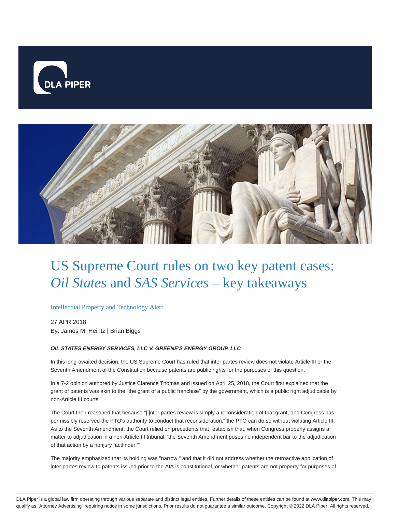



# US Supreme Court rules on two key patent cases: *Oil States* and *SAS Services* – key takeaways

#### Intellectual Property and Technology Alert

27 APR 2018 By: James M. Heintz | Brian Biggs

#### **OIL STATES ENERGY SERVICES, LLC V. GREENE'S ENERGY GROUP, LLC**

**I**n this long-awaited decision, the US Supreme Court has ruled that inter partes review does not violate Article III or the Seventh Amendment of the Constitution because patents are public rights for the purposes of this question.

In a 7-2 opinion authored by Justice Clarence Thomas and issued on April 25, 2018, the Court first explained that the grant of patents was akin to the "the grant of a public franchise" by the government, which is a public right adjudicable by non-Article III courts.

The Court then reasoned that because "[i]nter partes review is simply a reconsideration of that grant, and Congress has permissibly reserved the PTO's authority to conduct that reconsideration," the PTO can do so without violating Article III. As to the Seventh Amendment, the Court relied on precedents that "establish that, when Congress properly assigns a matter to adjudication in a non-Article III tribunal, 'the Seventh Amendment poses no independent bar to the adjudication of that action by a nonjury factfinder.'"

The majority emphasized that its holding was "narrow," and that it did not address whether the retroactive application of inter partes review to patents issued prior to the AIA is constitutional, or whether patents are not property for purposes of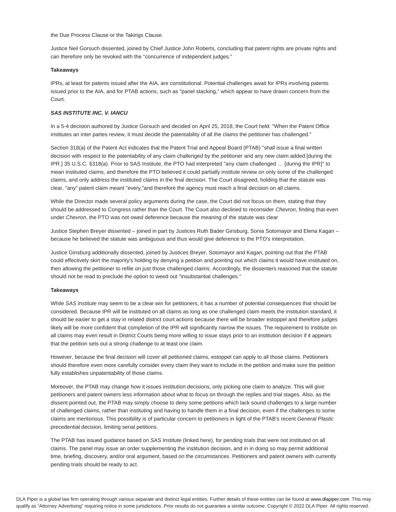the Due Process Clause or the Takings Clause.

Justice Neil Gorsuch dissented, joined by Chief Justice John Roberts, concluding that patent rights are private rights and can therefore only be revoked with the "concurrence of independent judges."

#### **Takeaways**

IPRs, at least for patents issued after the AIA, are constitutional. Potential challenges await for IPRs involving patents issued prior to the AIA, and for PTAB actions, such as "panel stacking," which appear to have drawn concern from the Court.

#### **SAS INSTITUTE INC. V. IANCU**

In a 5-4 decision authored by Justice Gorsuch and decided on April 25, 2018, the Court held: "When the Patent Office institutes an inter partes review, it must decide the patentability of all the claims the petitioner has challenged."

Section 318(a) of the Patent Act indicates that the Patent Trial and Appeal Board (PTAB) "shall issue a final written decision with respect to the patentability of any claim challenged by the petitioner and any new claim added [during the IPR.] 35 U.S.C. §318(a). Prior to SAS Institute, the PTO had interpreted "any claim challenged … [during the IPR]" to mean instituted claims, and therefore the PTO believed it could partially institute review on only some of the challenged claims, and only address the instituted claims in the final decision. The Court disagreed, holding that the statute was clear, "any" patent claim meant "every,"and therefore the agency must reach a final decision on all claims.

While the Director made several policy arguments during the case, the Court did not focus on them, stating that they should be addressed to Congress rather than the Court. The Court also declined to reconsider Chevron, finding that even under Chevron, the PTO was not owed deference because the meaning of the statute was clear

Justice Stephen Breyer dissented – joined in part by Justices Ruth Bader Ginsburg, Sonia Sotomayor and Elena Kagan – because he believed the statute was ambiguous and thus would give deference to the PTO's interpretation.

Justice Ginsburg additionally dissented, joined by Justices Breyer, Sotomayor and Kagan, pointing out that the PTAB could effectively skirt the majority's holding by denying a petition and pointing out which claims it would have instituted on, then allowing the petitioner to refile on just those challenged claims. Accordingly, the dissenters reasoned that the statute should not be read to preclude the option to weed out "insubstantial challenges."

#### **Takeaways**

While SAS Institute may seem to be a clear win for petitioners, it has a number of potential consequences that should be considered. Because IPR will be instituted on all claims as long as one challenged claim meets the institution standard, it should be easier to get a stay in related district court actions because there will be broader estoppel and therefore judges likely will be more confident that completion of the IPR will significantly narrow the issues. The requirement to institute on all claims may even result in District Courts being more willing to issue stays prior to an institution decision if it appears that the petition sets out a strong challenge to at least one claim.

However, because the final decision will cover all petitioned claims, estoppel can apply to all those claims. Petitioners should therefore even more carefully consider every claim they want to include in the petition and make sure the petition fully establishes unpatentability of those claims.

Moreover, the PTAB may change how it issues institution decisions, only picking one claim to analyze. This will give petitioners and patent owners less information about what to focus on through the replies and trial stages. Also, as the dissent pointed out, the PTAB may simply choose to deny some petitions which lack sound challenges to a large number of challenged claims, rather than instituting and having to handle them in a final decision, even if the challenges to some claims are meritorious. This possibility is of particular concern to petitioners in light of the PTAB's recent General Plastic precedential decision, limiting serial petitions.

The PTAB has issued guidance based on SAS Institute (linked here), for pending trials that were not instituted on all claims. The panel may issue an order supplementing the institution decision, and in in doing so may permit additional time, briefing, discovery, and/or oral argument, based on the circumstances. Petitioners and patent owners with currently pending trials should be ready to act.